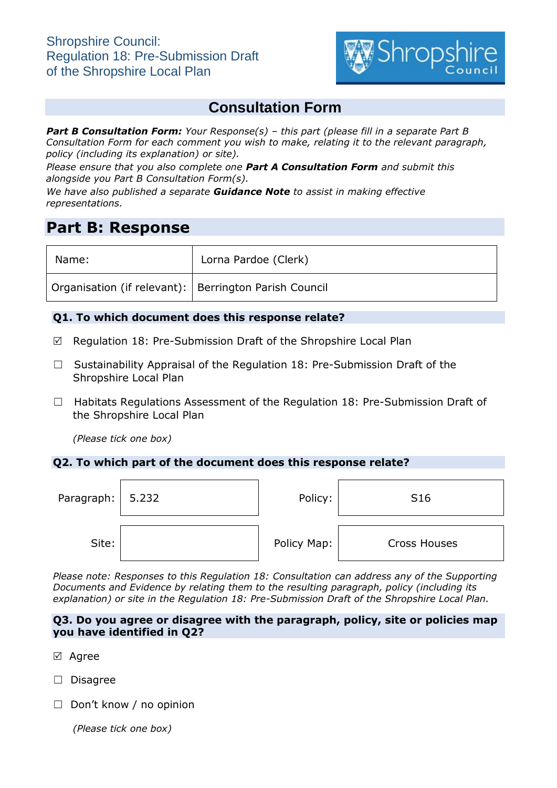

# **Consultation Form**

*Part B Consultation Form: Your Response(s) – this part (please fill in a separate Part B Consultation Form for each comment you wish to make, relating it to the relevant paragraph, policy (including its explanation) or site).*

*Please ensure that you also complete one Part A Consultation Form and submit this alongside you Part B Consultation Form(s).*

*We have also published a separate Guidance Note to assist in making effective representations.*

## **Part B: Response**

| Name:                                                   | Lorna Pardoe (Clerk) |
|---------------------------------------------------------|----------------------|
| Organisation (if relevant):   Berrington Parish Council |                      |

## **Q1. To which document does this response relate?**

- $\boxtimes$  Regulation 18: Pre-Submission Draft of the Shropshire Local Plan
- ☐ Sustainability Appraisal of the Regulation 18: Pre-Submission Draft of the Shropshire Local Plan
- □ Habitats Regulations Assessment of the Regulation 18: Pre-Submission Draft of the Shropshire Local Plan

*(Please tick one box)*

## **Q2. To which part of the document does this response relate?**

| Paragraph: $\vert 5.232 \vert$ | Policy:     | S <sub>16</sub>     |
|--------------------------------|-------------|---------------------|
| Site:                          | Policy Map: | <b>Cross Houses</b> |

*Please note: Responses to this Regulation 18: Consultation can address any of the Supporting Documents and Evidence by relating them to the resulting paragraph, policy (including its explanation) or site in the Regulation 18: Pre-Submission Draft of the Shropshire Local Plan.*

#### **Q3. Do you agree or disagree with the paragraph, policy, site or policies map you have identified in Q2?**

- ⊠ Agree
- ☐ Disagree
- ☐ Don't know / no opinion

*(Please tick one box)*